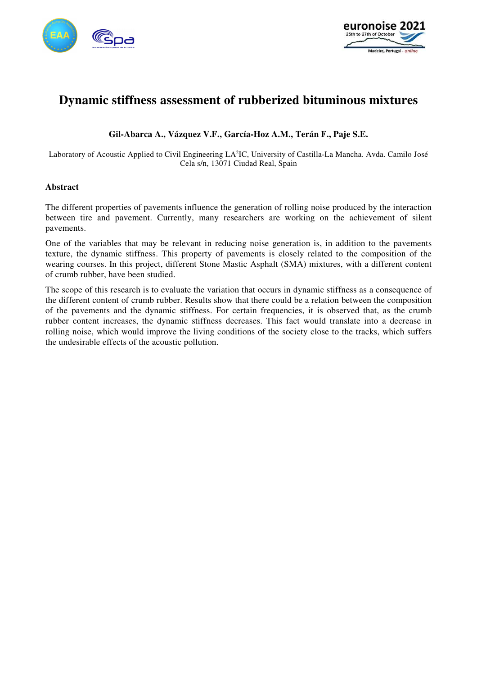



# **Dynamic stiffness assessment of rubberized bituminous mixtures**

### **Gil-Abarca A., Vázquez V.F., García-Hoz A.M., Terán F., Paje S.E.**

Laboratory of Acoustic Applied to Civil Engineering LA<sup>2</sup>IC, University of Castilla-La Mancha. Avda. Camilo José Cela s/n, 13071 Ciudad Real, Spain

#### **Abstract**

The different properties of pavements influence the generation of rolling noise produced by the interaction between tire and pavement. Currently, many researchers are working on the achievement of silent pavements.

One of the variables that may be relevant in reducing noise generation is, in addition to the pavements texture, the dynamic stiffness. This property of pavements is closely related to the composition of the wearing courses. In this project, different Stone Mastic Asphalt (SMA) mixtures, with a different content of crumb rubber, have been studied.

The scope of this research is to evaluate the variation that occurs in dynamic stiffness as a consequence of the different content of crumb rubber. Results show that there could be a relation between the composition of the pavements and the dynamic stiffness. For certain frequencies, it is observed that, as the crumb rubber content increases, the dynamic stiffness decreases. This fact would translate into a decrease in rolling noise, which would improve the living conditions of the society close to the tracks, which suffers the undesirable effects of the acoustic pollution.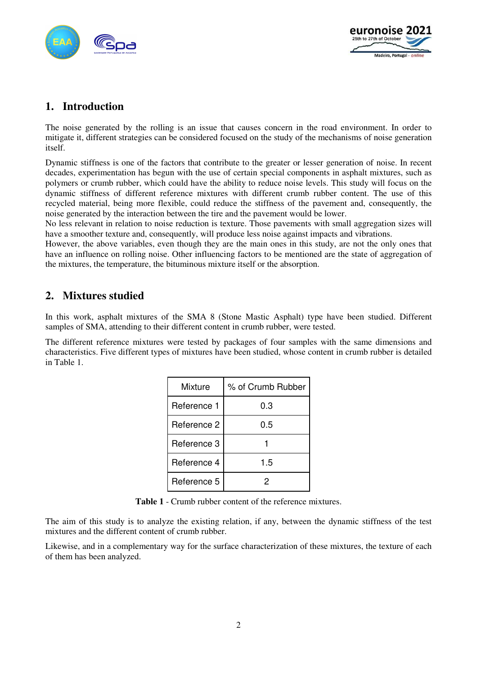



## **1. Introduction**

The noise generated by the rolling is an issue that causes concern in the road environment. In order to mitigate it, different strategies can be considered focused on the study of the mechanisms of noise generation itself.

Dynamic stiffness is one of the factors that contribute to the greater or lesser generation of noise. In recent decades, experimentation has begun with the use of certain special components in asphalt mixtures, such as polymers or crumb rubber, which could have the ability to reduce noise levels. This study will focus on the dynamic stiffness of different reference mixtures with different crumb rubber content. The use of this recycled material, being more flexible, could reduce the stiffness of the pavement and, consequently, the noise generated by the interaction between the tire and the pavement would be lower.

No less relevant in relation to noise reduction is texture. Those pavements with small aggregation sizes will have a smoother texture and, consequently, will produce less noise against impacts and vibrations.

However, the above variables, even though they are the main ones in this study, are not the only ones that have an influence on rolling noise. Other influencing factors to be mentioned are the state of aggregation of the mixtures, the temperature, the bituminous mixture itself or the absorption.

## **2. Mixtures studied**

In this work, asphalt mixtures of the SMA 8 (Stone Mastic Asphalt) type have been studied. Different samples of SMA, attending to their different content in crumb rubber, were tested.

The different reference mixtures were tested by packages of four samples with the same dimensions and characteristics. Five different types of mixtures have been studied, whose content in crumb rubber is detailed in Table 1.

| Mixture     | % of Crumb Rubber |  |  |
|-------------|-------------------|--|--|
| Reference 1 | 0.3               |  |  |
| Reference 2 | 0.5               |  |  |
| Reference 3 |                   |  |  |
| Reference 4 | 1.5               |  |  |
| Reference 5 |                   |  |  |

**Table 1** - Crumb rubber content of the reference mixtures.

The aim of this study is to analyze the existing relation, if any, between the dynamic stiffness of the test mixtures and the different content of crumb rubber.

Likewise, and in a complementary way for the surface characterization of these mixtures, the texture of each of them has been analyzed.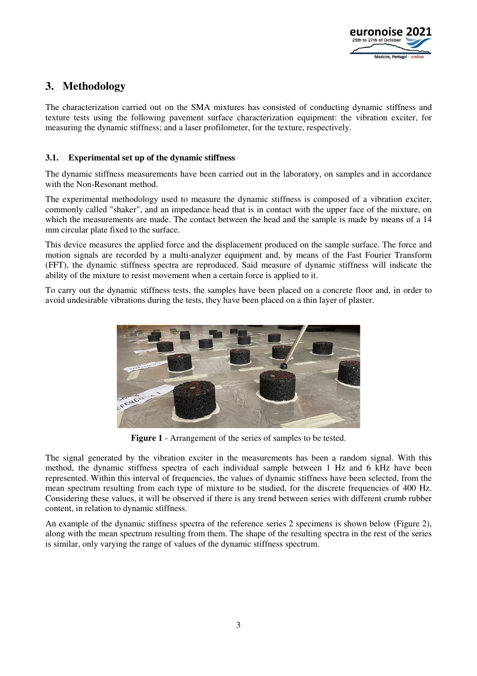

# **3. Methodology**

The characterization carried out on the SMA mixtures has consisted of conducting dynamic stiffness and texture tests using the following pavement surface characterization equipment: the vibration exciter, for measuring the dynamic stiffness; and a laser profilometer, for the texture, respectively.

#### **3.1. Experimental set up of the dynamic stiffness**

The dynamic stiffness measurements have been carried out in the laboratory, on samples and in accordance with the Non-Resonant method.

The experimental methodology used to measure the dynamic stiffness is composed of a vibration exciter, commonly called "shaker", and an impedance head that is in contact with the upper face of the mixture, on which the measurements are made. The contact between the head and the sample is made by means of a 14 mm circular plate fixed to the surface.

This device measures the applied force and the displacement produced on the sample surface. The force and motion signals are recorded by a multi-analyzer equipment and, by means of the Fast Fourier Transform (FFT), the dynamic stiffness spectra are reproduced. Said measure of dynamic stiffness will indicate the ability of the mixture to resist movement when a certain force is applied to it.

To carry out the dynamic stiffness tests, the samples have been placed on a concrete floor and, in order to avoid undesirable vibrations during the tests, they have been placed on a thin layer of plaster.



**Figure 1** - Arrangement of the series of samples to be tested.

The signal generated by the vibration exciter in the measurements has been a random signal. With this method, the dynamic stiffness spectra of each individual sample between 1 Hz and 6 kHz have been represented. Within this interval of frequencies, the values of dynamic stiffness have been selected, from the mean spectrum resulting from each type of mixture to be studied, for the discrete frequencies of 400 Hz. Considering these values, it will be observed if there is any trend between series with different crumb rubber content, in relation to dynamic stiffness.

An example of the dynamic stiffness spectra of the reference series 2 specimens is shown below (Figure 2), along with the mean spectrum resulting from them. The shape of the resulting spectra in the rest of the series is similar, only varying the range of values of the dynamic stiffness spectrum.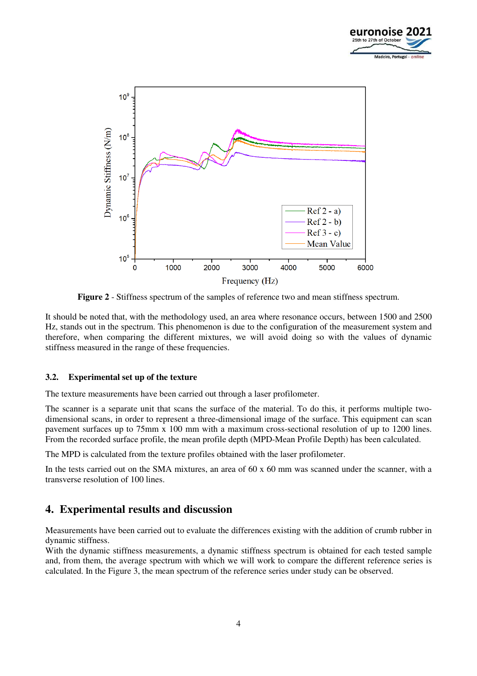



**Figure 2** - Stiffness spectrum of the samples of reference two and mean stiffness spectrum.

It should be noted that, with the methodology used, an area where resonance occurs, between 1500 and 2500 Hz, stands out in the spectrum. This phenomenon is due to the configuration of the measurement system and therefore, when comparing the different mixtures, we will avoid doing so with the values of dynamic stiffness measured in the range of these frequencies.

#### **3.2. Experimental set up of the texture**

The texture measurements have been carried out through a laser profilometer.

The scanner is a separate unit that scans the surface of the material. To do this, it performs multiple twodimensional scans, in order to represent a three-dimensional image of the surface. This equipment can scan pavement surfaces up to 75mm x 100 mm with a maximum cross-sectional resolution of up to 1200 lines. From the recorded surface profile, the mean profile depth (MPD-Mean Profile Depth) has been calculated.

The MPD is calculated from the texture profiles obtained with the laser profilometer.

In the tests carried out on the SMA mixtures, an area of 60 x 60 mm was scanned under the scanner, with a transverse resolution of 100 lines.

### **4. Experimental results and discussion**

Measurements have been carried out to evaluate the differences existing with the addition of crumb rubber in dynamic stiffness.

With the dynamic stiffness measurements, a dynamic stiffness spectrum is obtained for each tested sample and, from them, the average spectrum with which we will work to compare the different reference series is calculated. In the Figure 3, the mean spectrum of the reference series under study can be observed.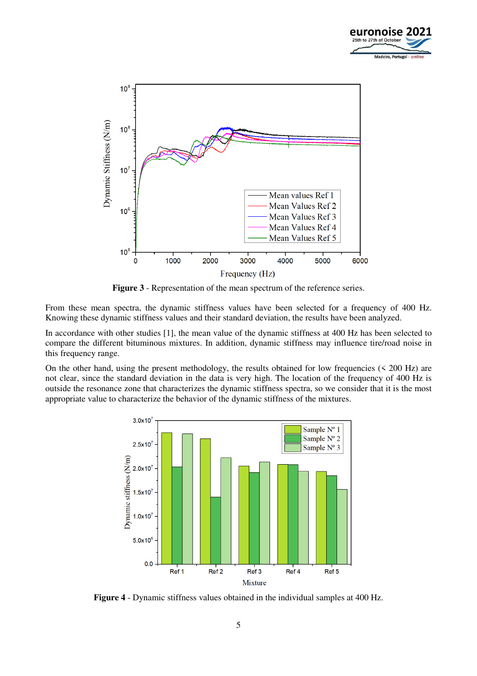



**Figure 3** - Representation of the mean spectrum of the reference series.

From these mean spectra, the dynamic stiffness values have been selected for a frequency of 400 Hz. Knowing these dynamic stiffness values and their standard deviation, the results have been analyzed.

In accordance with other studies [1], the mean value of the dynamic stiffness at 400 Hz has been selected to compare the different bituminous mixtures. In addition, dynamic stiffness may influence tire/road noise in this frequency range.

On the other hand, using the present methodology, the results obtained for low frequencies  $( $200 \text{ Hz}$ )$  are not clear, since the standard deviation in the data is very high. The location of the frequency of 400 Hz is outside the resonance zone that characterizes the dynamic stiffness spectra, so we consider that it is the most appropriate value to characterize the behavior of the dynamic stiffness of the mixtures.



**Figure 4** - Dynamic stiffness values obtained in the individual samples at 400 Hz.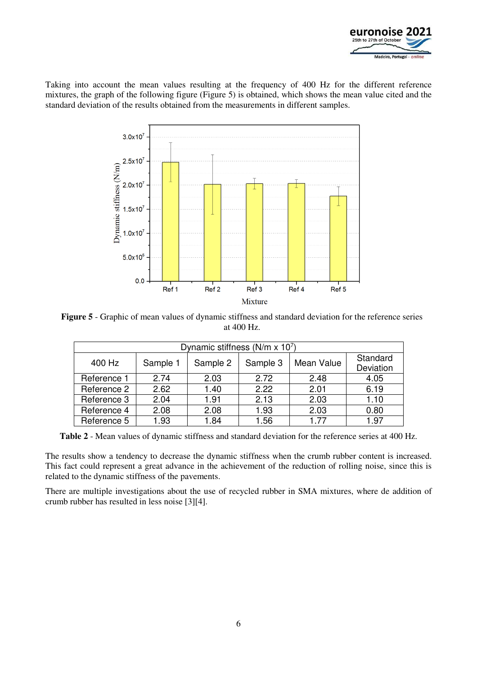

Taking into account the mean values resulting at the frequency of 400 Hz for the different reference mixtures, the graph of the following figure (Figure 5) is obtained, which shows the mean value cited and the standard deviation of the results obtained from the measurements in different samples.



**Figure 5** - Graphic of mean values of dynamic stiffness and standard deviation for the reference series at 400 Hz.

| Dynamic stiffness ( $N/m \times 10^7$ ) |          |          |          |            |                       |  |
|-----------------------------------------|----------|----------|----------|------------|-----------------------|--|
| 400 Hz                                  | Sample 1 | Sample 2 | Sample 3 | Mean Value | Standard<br>Deviation |  |
| Reference 1                             | 2.74     | 2.03     | 2.72     | 2.48       | 4.05                  |  |
| Reference 2                             | 2.62     | 1.40     | 2.22     | 2.01       | 6.19                  |  |
| Reference 3                             | 2.04     | 1.91     | 2.13     | 2.03       | 1.10                  |  |
| Reference 4                             | 2.08     | 2.08     | 1.93     | 2.03       | 0.80                  |  |
| Reference 5                             | 1.93     | 1.84     | 1.56     | 1.77       | 1.97                  |  |

**Table 2** - Mean values of dynamic stiffness and standard deviation for the reference series at 400 Hz.

The results show a tendency to decrease the dynamic stiffness when the crumb rubber content is increased. This fact could represent a great advance in the achievement of the reduction of rolling noise, since this is related to the dynamic stiffness of the pavements.

There are multiple investigations about the use of recycled rubber in SMA mixtures, where de addition of crumb rubber has resulted in less noise [3][4].